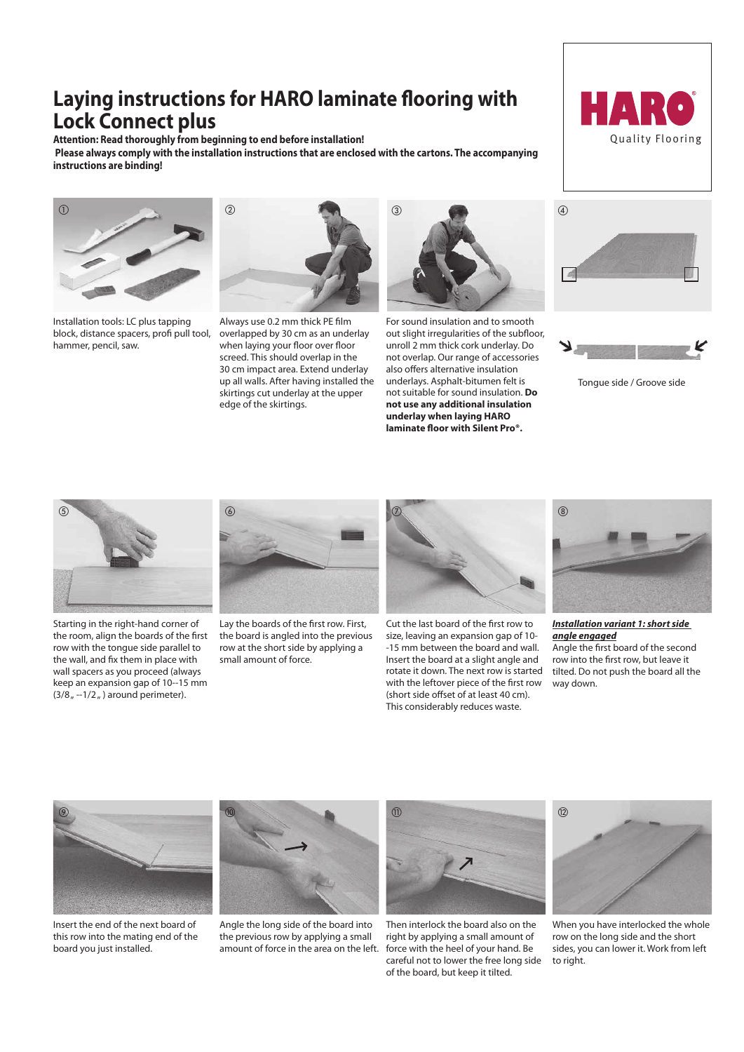## **Laying instructions for HARO laminate flooring with Lock Connect plus**

**Attention: Read thoroughly from beginning to end before installation! Please always comply with the installation instructions that are enclosed with the cartons. The accompanying instructions are binding!**



Installation tools: LC plus tapping block, distance spacers, profi pull tool, hammer, pencil, saw.



Always use 0.2 mm thick PE film overlapped by 30 cm as an underlay when laying your floor over floor screed. This should overlap in the 30 cm impact area. Extend underlay up all walls. After having installed the skirtings cut underlay at the upper edge of the skirtings.



For sound insulation and to smooth out slight irregularities of the subfloor, unroll 2 mm thick cork underlay. Do not overlap. Our range of accessories also offers alternative insulation underlays. Asphalt-bitumen felt is not suitable for sound insulation. **Do not use any additional insulation underlay when laying HARO laminate floor with Silent Pro®.**







Tongue side / Groove side



Starting in the right-hand corner of the room, align the boards of the first row with the tongue side parallel to the wall, and fix them in place with wall spacers as you proceed (always keep an expansion gap of 10--15 mm  $(3/8<sub>n</sub> -1/2<sub>n</sub>)$  around perimeter).



Lay the boards of the first row. First, the board is angled into the previous row at the short side by applying a small amount of force.



Cut the last board of the first row to size, leaving an expansion gap of 10- -15 mm between the board and wall. Insert the board at a slight angle and rotate it down. The next row is started with the leftover piece of the first row (short side offset of at least 40 cm). This considerably reduces waste.



*Installation variant 1: short side angle engaged*

Angle the first board of the second row into the first row, but leave it tilted. Do not push the board all the way down.



Insert the end of the next board of this row into the mating end of the board you just installed.



Angle the long side of the board into the previous row by applying a small amount of force in the area on the left.



Then interlock the board also on the right by applying a small amount of force with the heel of your hand. Be careful not to lower the free long side of the board, but keep it tilted.



When you have interlocked the whole row on the long side and the short sides, you can lower it. Work from left to right.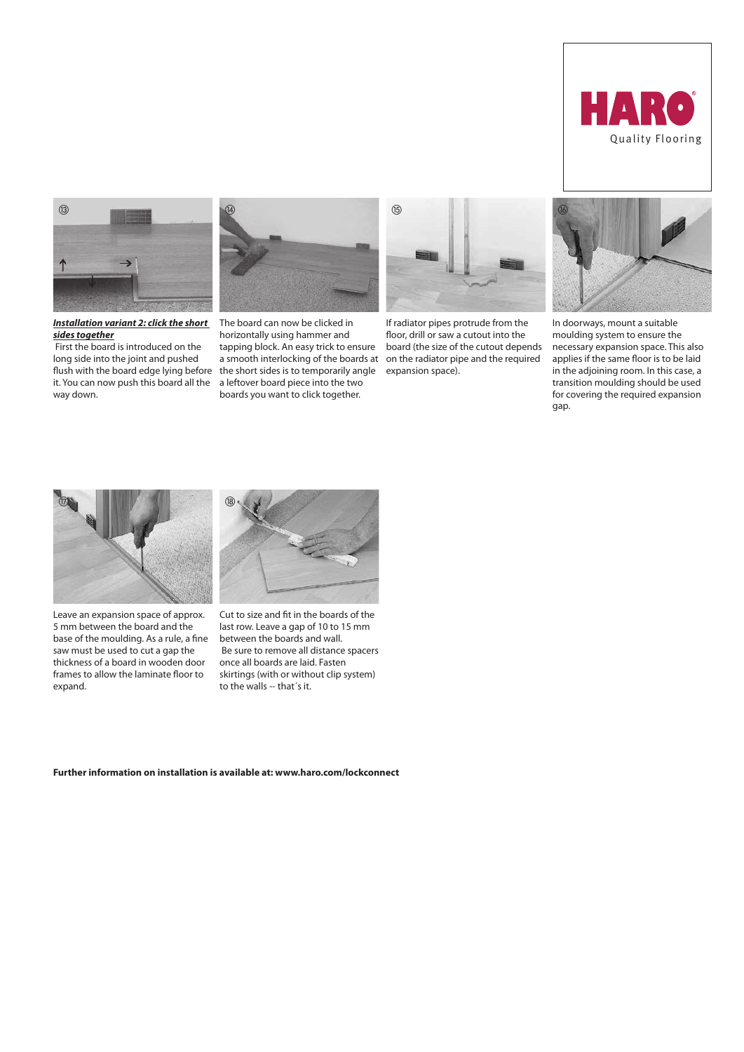



*Installation variant 2: click the short sides together*

 First the board is introduced on the long side into the joint and pushed flush with the board edge lying before it. You can now push this board all the way down.



The board can now be clicked in horizontally using hammer and tapping block. An easy trick to ensure a smooth interlocking of the boards at the short sides is to temporarily angle a leftover board piece into the two boards you want to click together.



If radiator pipes protrude from the floor, drill or saw a cutout into the board (the size of the cutout depends on the radiator pipe and the required expansion space).



In doorways, mount a suitable moulding system to ensure the necessary expansion space. This also applies if the same floor is to be laid in the adjoining room. In this case, a transition moulding should be used for covering the required expansion gap.



Leave an expansion space of approx. 5 mm between the board and the base of the moulding. As a rule, a fine saw must be used to cut a gap the thickness of a board in wooden door frames to allow the laminate floor to expand.



Cut to size and fit in the boards of the last row. Leave a gap of 10 to 15 mm between the boards and wall. Be sure to remove all distance spacers once all boards are laid. Fasten skirtings (with or without clip system) to the walls -- that´s it.

**Further information on installation is available at: www.haro.com/lockconnect**